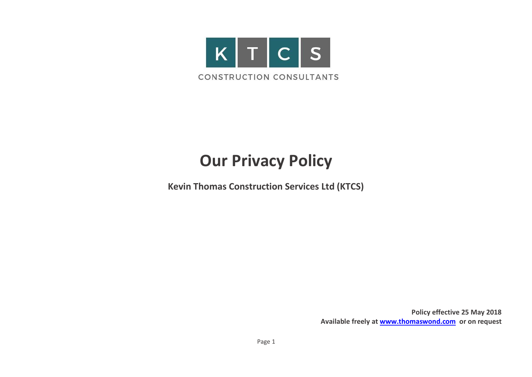

# **Our Privacy Policy**

**Kevin Thomas Construction Services Ltd (KTCS)**

**Policy effective 25 May 2018 Available freely at [www.thomaswond.com](http://www.thomaswond.com/) or on request**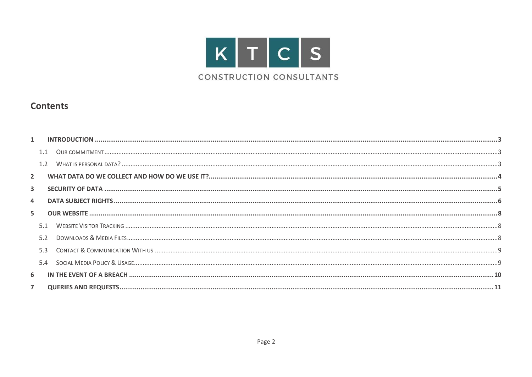

### **Contents**

| $\overline{2}$          |     |  |
|-------------------------|-----|--|
| $\overline{\mathbf{3}}$ |     |  |
| 4                       |     |  |
| 5                       |     |  |
|                         |     |  |
|                         |     |  |
|                         | 5.3 |  |
|                         | 5.4 |  |
| 6                       |     |  |
| 7                       |     |  |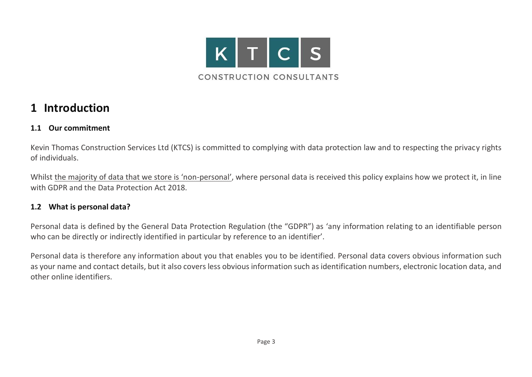

### <span id="page-2-0"></span>**1 Introduction**

### <span id="page-2-1"></span>**1.1 Our commitment**

Kevin Thomas Construction Services Ltd (KTCS) is committed to complying with data protection law and to respecting the privacy rights of individuals.

Whilst the majority of data that we store is 'non-personal', where personal data is received this policy explains how we protect it, in line with GDPR and the Data Protection Act 2018.

### <span id="page-2-2"></span>**1.2 What is personal data?**

Personal data is defined by the General Data Protection Regulation (the "GDPR") as 'any information relating to an identifiable person who can be directly or indirectly identified in particular by reference to an identifier'.

Personal data is therefore any information about you that enables you to be identified. Personal data covers obvious information such as your name and contact details, but it also covers less obvious information such as identification numbers, electronic location data, and other online identifiers.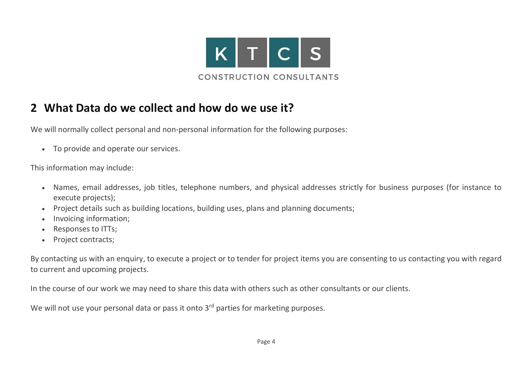

# <span id="page-3-0"></span>**2 What Data do we collect and how do we use it?**

We will normally collect personal and non-personal information for the following purposes:

• To provide and operate our services.

This information may include:

- Names, email addresses, job titles, telephone numbers, and physical addresses strictly for business purposes (for instance to execute projects);
- Project details such as building locations, building uses, plans and planning documents;
- Invoicing information;
- Responses to ITTs;
- Project contracts;

By contacting us with an enquiry, to execute a project or to tender for project items you are consenting to us contacting you with regard to current and upcoming projects.

In the course of our work we may need to share this data with others such as other consultants or our clients.

We will not use your personal data or pass it onto 3<sup>rd</sup> parties for marketing purposes.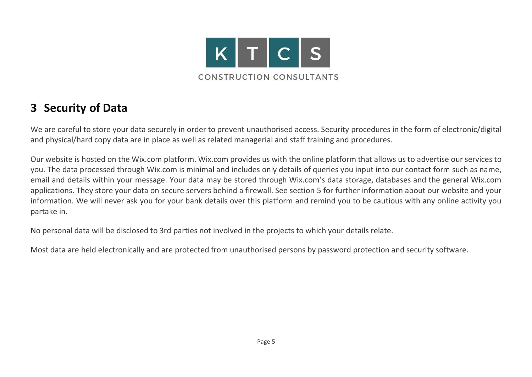

# <span id="page-4-0"></span>**3 Security of Data**

We are careful to store your data securely in order to prevent unauthorised access. Security procedures in the form of electronic/digital and physical/hard copy data are in place as well as related managerial and staff training and procedures.

Our website is hosted on the Wix.com platform. Wix.com provides us with the online platform that allows us to advertise our services to you. The data processed through Wix.com is minimal and includes only details of queries you input into our contact form such as name, email and details within your message. Your data may be stored through Wix.com's data storage, databases and the general Wix.com applications. They store your data on secure servers behind a firewall. See section [5](#page-7-0) for further information about our website and your information. We will never ask you for your bank details over this platform and remind you to be cautious with any online activity you partake in.

No personal data will be disclosed to 3rd parties not involved in the projects to which your details relate.

Most data are held electronically and are protected from unauthorised persons by password protection and security software.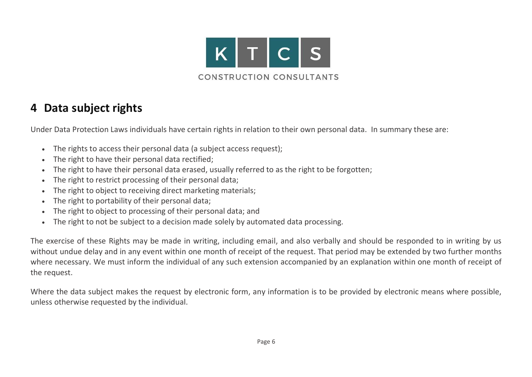

# <span id="page-5-0"></span>**4 Data subject rights**

Under Data Protection Laws individuals have certain rights in relation to their own personal data. In summary these are:

- The rights to access their personal data (a subject access request);
- The right to have their personal data rectified;
- The right to have their personal data erased, usually referred to as the right to be forgotten;
- The right to restrict processing of their personal data;
- The right to object to receiving direct marketing materials;
- The right to portability of their personal data;
- The right to object to processing of their personal data; and
- The right to not be subject to a decision made solely by automated data processing.

The exercise of these Rights may be made in writing, including email, and also verbally and should be responded to in writing by us without undue delay and in any event within one month of receipt of the request. That period may be extended by two further months where necessary. We must inform the individual of any such extension accompanied by an explanation within one month of receipt of the request.

Where the data subject makes the request by electronic form, any information is to be provided by electronic means where possible, unless otherwise requested by the individual.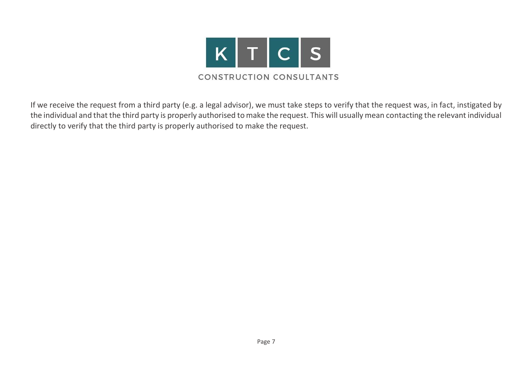

If we receive the request from a third party (e.g. a legal advisor), we must take steps to verify that the request was, in fact, instigated by the individual and that the third party is properly authorised to make the request. This will usually mean contacting the relevant individual directly to verify that the third party is properly authorised to make the request.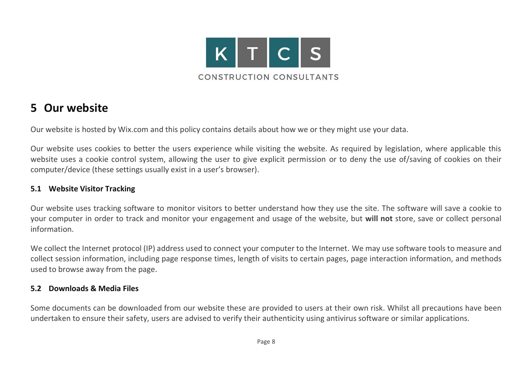

### <span id="page-7-0"></span>**5 Our website**

Our website is hosted by Wix.com and this policy contains details about how we or they might use your data.

Our website uses cookies to better the users experience while visiting the website. As required by legislation, where applicable this website uses a cookie control system, allowing the user to give explicit permission or to deny the use of/saving of cookies on their computer/device (these settings usually exist in a user's browser).

### <span id="page-7-1"></span>**5.1 Website Visitor Tracking**

Our website uses tracking software to monitor visitors to better understand how they use the site. The software will save a cookie to your computer in order to track and monitor your engagement and usage of the website, but **will not** store, save or collect personal information.

We collect the Internet protocol (IP) address used to connect your computer to the Internet. We may use software tools to measure and collect session information, including page response times, length of visits to certain pages, page interaction information, and methods used to browse away from the page.

### <span id="page-7-2"></span>**5.2 Downloads & Media Files**

Some documents can be downloaded from our website these are provided to users at their own risk. Whilst all precautions have been undertaken to ensure their safety, users are advised to verify their authenticity using antivirus software or similar applications.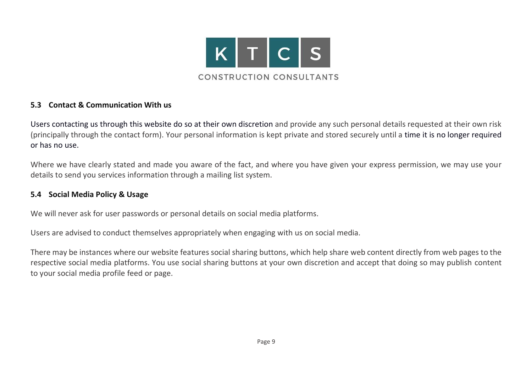

#### <span id="page-8-0"></span>**5.3 Contact & Communication With us**

Users contacting us through this website do so at their own discretion and provide any such personal details requested at their own risk (principally through the contact form). Your personal information is kept private and stored securely until a time it is no longer required or has no use.

Where we have clearly stated and made you aware of the fact, and where you have given your express permission, we may use your details to send you services information through a mailing list system.

### <span id="page-8-1"></span>**5.4 Social Media Policy & Usage**

We will never ask for user passwords or personal details on social media platforms.

Users are advised to conduct themselves appropriately when engaging with us on social media.

There may be instances where our website features social sharing buttons, which help share web content directly from web pages to the respective social media platforms. You use social sharing buttons at your own discretion and accept that doing so may publish content to your social media profile feed or page.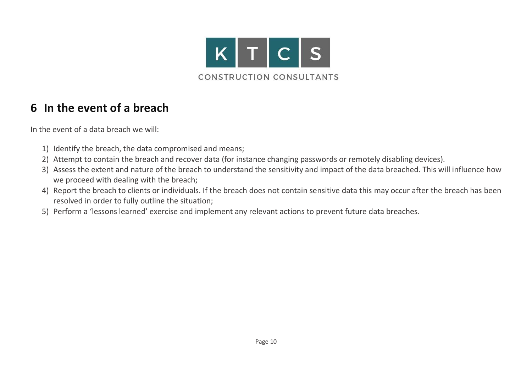

# <span id="page-9-0"></span>**6 In the event of a breach**

In the event of a data breach we will:

- 1) Identify the breach, the data compromised and means;
- 2) Attempt to contain the breach and recover data (for instance changing passwords or remotely disabling devices).
- 3) Assess the extent and nature of the breach to understand the sensitivity and impact of the data breached. This will influence how we proceed with dealing with the breach;
- 4) Report the breach to clients or individuals. If the breach does not contain sensitive data this may occur after the breach has been resolved in order to fully outline the situation;
- 5) Perform a 'lessons learned' exercise and implement any relevant actions to prevent future data breaches.